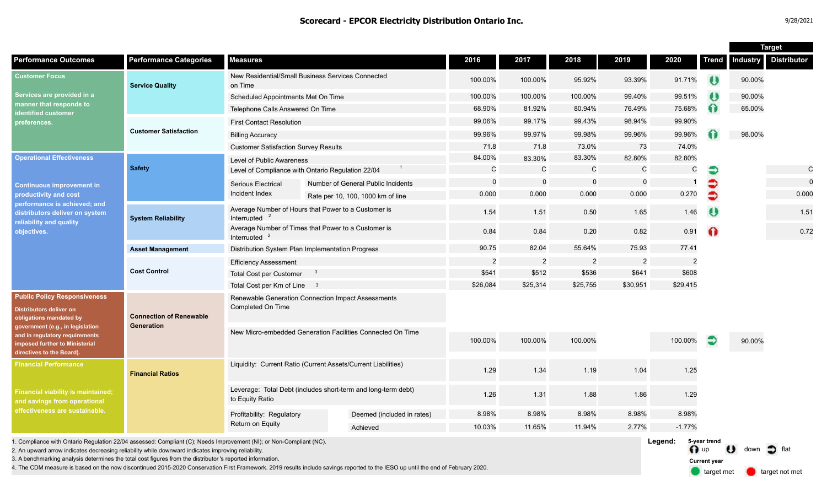|                                                                                                                                                                                                                                |                                              |                                                                                  |  |                                    |              |                |                |              |                         |              | <b>Target</b> |                    |  |
|--------------------------------------------------------------------------------------------------------------------------------------------------------------------------------------------------------------------------------|----------------------------------------------|----------------------------------------------------------------------------------|--|------------------------------------|--------------|----------------|----------------|--------------|-------------------------|--------------|---------------|--------------------|--|
| <b>Performance Outcomes</b>                                                                                                                                                                                                    | <b>Performance Categories</b>                | <b>Measures</b>                                                                  |  |                                    | 2016         | 2017           | 2018           | 2019         | 2020                    | <b>Trend</b> | ndustry       | <b>Distributor</b> |  |
| <b>Customer Focus</b><br>Services are provided in a<br>manner that responds to<br>identified customer<br>preferences.                                                                                                          | <b>Service Quality</b>                       | New Residential/Small Business Services Connected<br>on Time                     |  | 100.00%                            | 100.00%      | 95.92%         | 93.39%         | 91.71%       | $\bullet$               | 90.00%       |               |                    |  |
|                                                                                                                                                                                                                                |                                              | Scheduled Appointments Met On Time                                               |  |                                    | 100.00%      | 100.00%        | 100.00%        | 99.40%       | 99.51%                  | $\bullet$    | 90.00%        |                    |  |
|                                                                                                                                                                                                                                |                                              | Telephone Calls Answered On Time                                                 |  |                                    | 68.90%       | 81.92%         | 80.94%         | 76.49%       | 75.68%                  | $\Omega$     | 65.00%        |                    |  |
|                                                                                                                                                                                                                                |                                              | <b>First Contact Resolution</b>                                                  |  |                                    | 99.06%       | 99.17%         | 99.43%         | 98.94%       | 99.90%                  |              |               |                    |  |
|                                                                                                                                                                                                                                | <b>Customer Satisfaction</b>                 | <b>Billing Accuracy</b>                                                          |  |                                    | 99.96%       | 99.97%         | 99.98%         | 99.96%       | 99.96%                  |              | 98.00%        |                    |  |
|                                                                                                                                                                                                                                |                                              | <b>Customer Satisfaction Survey Results</b>                                      |  |                                    | 71.8         | 71.8           | 73.0%          | 73           | 74.0%                   |              |               |                    |  |
| <b>Operational Effectiveness</b><br><b>Continuous improvement in</b><br>productivity and cost<br>performance is achieved; and<br>distributors deliver on system<br>reliability and quality<br>objectives.                      | <b>Safety</b>                                | Level of Public Awareness                                                        |  |                                    | 84.00%       | 83.30%         | 83.30%         | 82.80%       | 82.80%                  |              |               |                    |  |
|                                                                                                                                                                                                                                |                                              | Level of Compliance with Ontario Regulation 22/04                                |  |                                    | $\mathsf{C}$ | $\mathsf{C}$   | $\mathsf{C}$   | $\mathsf{C}$ | $\mathsf{C}$            | €            |               | C                  |  |
|                                                                                                                                                                                                                                |                                              | <b>Serious Electrical</b>                                                        |  | Number of General Public Incidents |              | $\mathbf 0$    | $\mathbf 0$    | $\mathbf 0$  |                         | €            |               | $\mathbf 0$        |  |
|                                                                                                                                                                                                                                |                                              | Incident Index                                                                   |  | Rate per 10, 100, 1000 km of line  | 0.000        | 0.000          | 0.000          | 0.000        | 0.270                   | $\bullet$    |               | 0.000              |  |
|                                                                                                                                                                                                                                | <b>System Reliability</b>                    | Average Number of Hours that Power to a Customer is<br>Interrupted               |  |                                    | 1.54         | 1.51           | 0.50           | 1.65         | 1.46                    | $\bullet$    |               | 1.51               |  |
|                                                                                                                                                                                                                                |                                              | Average Number of Times that Power to a Customer is<br>Interrupted               |  |                                    | 0.84         | 0.84           | 0.20           | 0.82         | 0.91                    | $\Omega$     |               | 0.72               |  |
|                                                                                                                                                                                                                                | <b>Asset Management</b>                      | Distribution System Plan Implementation Progress                                 |  |                                    | 90.75        | 82.04          | 55.64%         | 75.93        | 77.41                   |              |               |                    |  |
|                                                                                                                                                                                                                                | <b>Cost Control</b>                          | <b>Efficiency Assessment</b>                                                     |  |                                    | 2            | $\overline{c}$ | $\overline{2}$ | 2            | 2                       |              |               |                    |  |
|                                                                                                                                                                                                                                |                                              | <b>Total Cost per Customer</b><br>$_{3}$                                         |  |                                    | \$541        | \$512          | \$536          | \$641        | \$608                   |              |               |                    |  |
|                                                                                                                                                                                                                                |                                              | Total Cost per Km of Line 3                                                      |  |                                    | \$26,084     | \$25,314       | \$25,755       | \$30,951     | \$29,415                |              |               |                    |  |
| <b>Public Policy Responsiveness</b><br>Distributors deliver on<br>obligations mandated by<br>government (e.g., in legislation<br>and in regulatory requirements<br>imposed further to Ministerial<br>directives to the Board). | <b>Connection of Renewable</b><br>Generation | Renewable Generation Connection Impact Assessments<br>Completed On Time          |  |                                    |              |                |                |              |                         |              |               |                    |  |
|                                                                                                                                                                                                                                |                                              | New Micro-embedded Generation Facilities Connected On Time                       |  |                                    | 100.00%      | 100.00%        | 100.00%        |              | 100.00%                 | Ð            | 90.00%        |                    |  |
| <b>Financial Performance</b><br><b>Financial viability is maintained;</b><br>and savings from operational<br>effectiveness are sustainable.                                                                                    | <b>Financial Ratios</b>                      | Liquidity: Current Ratio (Current Assets/Current Liabilities)                    |  |                                    | 1.29         | 1.34           | 1.19           | 1.04         | 1.25                    |              |               |                    |  |
|                                                                                                                                                                                                                                |                                              | Leverage: Total Debt (includes short-term and long-term debt)<br>to Equity Ratio |  |                                    | 1.26         | 1.31           | 1.88           | 1.86         | 1.29                    |              |               |                    |  |
|                                                                                                                                                                                                                                |                                              | Profitability: Regulatory<br>Return on Equity                                    |  | Deemed (included in rates)         | 8.98%        | 8.98%          | 8.98%          | 8.98%        | 8.98%                   |              |               |                    |  |
|                                                                                                                                                                                                                                |                                              |                                                                                  |  | Achieved                           | 10.03%       | 11.65%         | 11.94%         | 2.77%        | $-1.77%$                |              |               |                    |  |
| . Compliance with Ontario Regulation 22/04 assessed: Compliant (C); Needs Improvement (NI); or Non-Compliant (NC).                                                                                                             |                                              |                                                                                  |  |                                    |              |                |                |              | Leaend:<br>5-year trend |              |               |                    |  |

2. An upward arrow indicates decreasing reliability while downward indicates improving reliability.

3. A benchmarking analysis determines the total cost figures from the distributor 's reported information.

4. The CDM measure is based on the now discontinued 2015-2020 Conservation First Framework. 2019 results include savings reported to the IESO up until the end of February 2020.

C 0

0.000

1.51

n up U down of flat **Current year**

target met **target not met**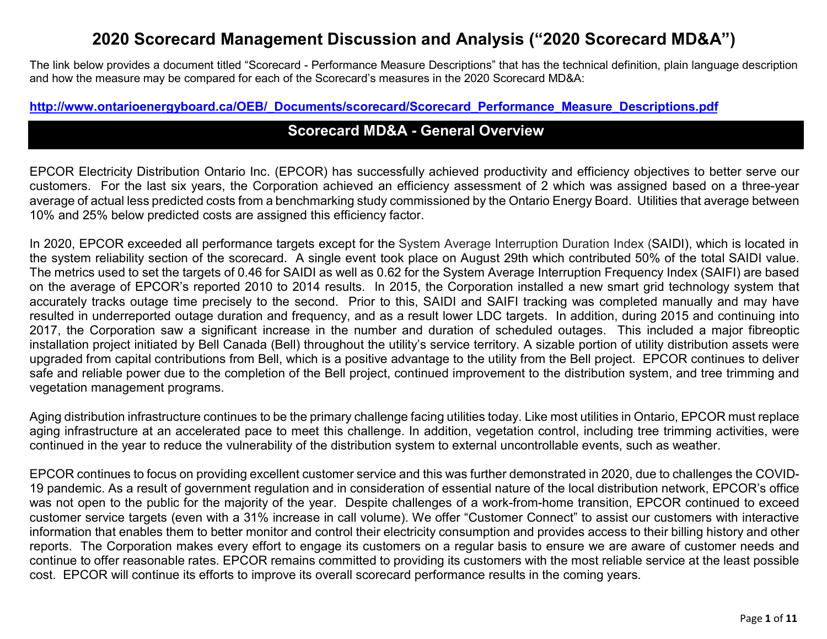# 2020 Scorecard Management Discussion and Analysis ("2020 Scorecard MD&A")

The link below provides a document titled "Scorecard - Performance Measure Descriptions" that has the technical definition, plain language description and how the measure may be compared for each of the Scorecard's measures in the 2020 Scorecard MD&A:

#### http://www.ontarioenergyboard.ca/OEB/\_Documents/scorecard/Scorecard\_Performance\_Measure\_Descriptions.pdf

## Scorecard MD&A - General Overview

EPCOR Electricity Distribution Ontario Inc. (EPCOR) has successfully achieved productivity and efficiency objectives to better serve our customers. For the last six years, the Corporation achieved an efficiency assessment of 2 which was assigned based on a three-year average of actual less predicted costs from a benchmarking study commissioned by the Ontario Energy Board. Utilities that average between 10% and 25% below predicted costs are assigned this efficiency factor.

In 2020, EPCOR exceeded all performance targets except for the System Average Interruption Duration Index (SAIDI), which is located in the system reliability section of the scorecard. A single event took place on August 29th which contributed 50% of the total SAIDI value. The metrics used to set the targets of 0.46 for SAIDI as well as 0.62 for the System Average Interruption Frequency Index (SAIFI) are based on the average of EPCOR's reported 2010 to 2014 results. In 2015, the Corporation installed a new smart grid technology system that accurately tracks outage time precisely to the second. Prior to this, SAIDI and SAIFI tracking was completed manually and may have resulted in underreported outage duration and frequency, and as a result lower LDC targets. In addition, during 2015 and continuing into 2017, the Corporation saw a significant increase in the number and duration of scheduled outages. This included a major fibreoptic installation project initiated by Bell Canada (Bell) throughout the utility's service territory. A sizable portion of utility distribution assets were upgraded from capital contributions from Bell, which is a positive advantage to the utility from the Bell project. EPCOR continues to deliver safe and reliable power due to the completion of the Bell project, continued improvement to the distribution system, and tree trimming and vegetation management programs.

Aging distribution infrastructure continues to be the primary challenge facing utilities today. Like most utilities in Ontario, EPCOR must replace aging infrastructure at an accelerated pace to meet this challenge. In addition, vegetation control, including tree trimming activities, were continued in the year to reduce the vulnerability of the distribution system to external uncontrollable events, such as weather.

EPCOR continues to focus on providing excellent customer service and this was further demonstrated in 2020, due to challenges the COVID-19 pandemic. As a result of government regulation and in consideration of essential nature of the local distribution network, EPCOR's office was not open to the public for the majority of the year. Despite challenges of a work-from-home transition, EPCOR continued to exceed customer service targets (even with a 31% increase in call volume). We offer "Customer Connect" to assist our customers with interactive information that enables them to better monitor and control their electricity consumption and provides access to their billing history and other reports. The Corporation makes every effort to engage its customers on a regular basis to ensure we are aware of customer needs and continue to offer reasonable rates. EPCOR remains committed to providing its customers with the most reliable service at the least possible cost. EPCOR will continue its efforts to improve its overall scorecard performance results in the coming years.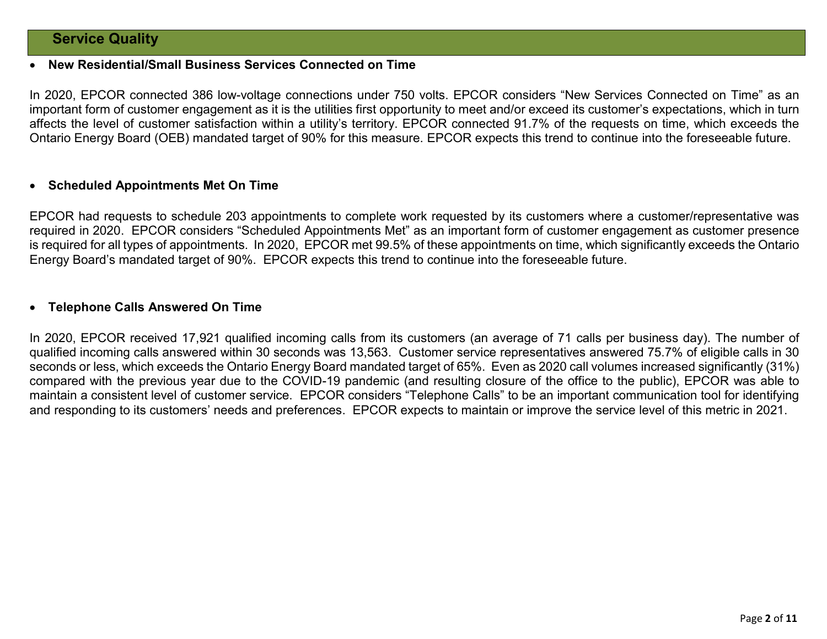## Service Quality

#### New Residential/Small Business Services Connected on Time

In 2020, EPCOR connected 386 low-voltage connections under 750 volts. EPCOR considers "New Services Connected on Time" as an important form of customer engagement as it is the utilities first opportunity to meet and/or exceed its customer's expectations, which in turn affects the level of customer satisfaction within a utility's territory. EPCOR connected 91.7% of the requests on time, which exceeds the Ontario Energy Board (OEB) mandated target of 90% for this measure. EPCOR expects this trend to continue into the foreseeable future.

#### Scheduled Appointments Met On Time

EPCOR had requests to schedule 203 appointments to complete work requested by its customers where a customer/representative was required in 2020. EPCOR considers "Scheduled Appointments Met" as an important form of customer engagement as customer presence is required for all types of appointments. In 2020, EPCOR met 99.5% of these appointments on time, which significantly exceeds the Ontario Energy Board's mandated target of 90%. EPCOR expects this trend to continue into the foreseeable future.

#### Telephone Calls Answered On Time

In 2020, EPCOR received 17,921 qualified incoming calls from its customers (an average of 71 calls per business day). The number of qualified incoming calls answered within 30 seconds was 13,563. Customer service representatives answered 75.7% of eligible calls in 30 seconds or less, which exceeds the Ontario Energy Board mandated target of 65%. Even as 2020 call volumes increased significantly (31%) compared with the previous year due to the COVID-19 pandemic (and resulting closure of the office to the public), EPCOR was able to maintain a consistent level of customer service. EPCOR considers "Telephone Calls" to be an important communication tool for identifying and responding to its customers' needs and preferences. EPCOR expects to maintain or improve the service level of this metric in 2021.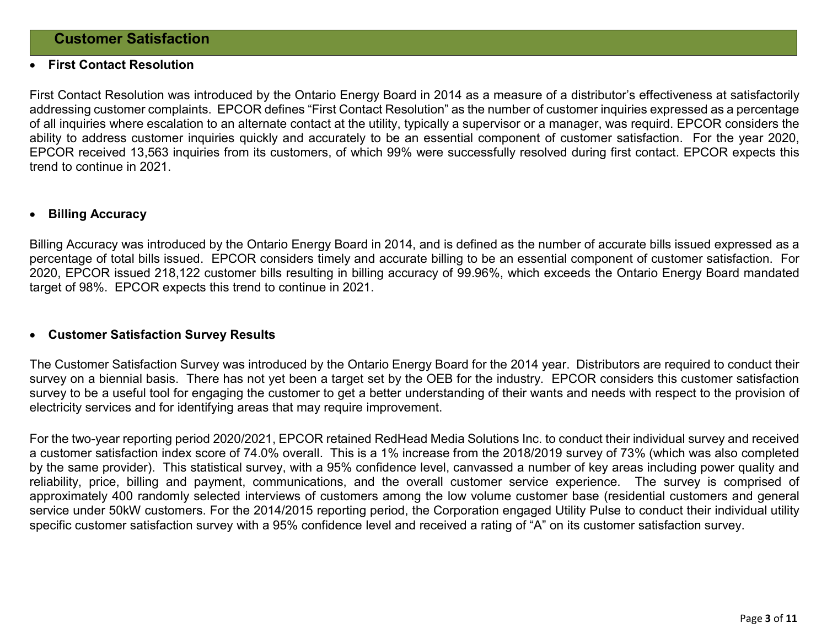#### First Contact Resolution

First Contact Resolution was introduced by the Ontario Energy Board in 2014 as a measure of a distributor's effectiveness at satisfactorily addressing customer complaints. EPCOR defines "First Contact Resolution" as the number of customer inquiries expressed as a percentage of all inquiries where escalation to an alternate contact at the utility, typically a supervisor or a manager, was requird. EPCOR considers the ability to address customer inquiries quickly and accurately to be an essential component of customer satisfaction. For the year 2020, EPCOR received 13,563 inquiries from its customers, of which 99% were successfully resolved during first contact. EPCOR expects this trend to continue in 2021.

#### Billing Accuracy

Billing Accuracy was introduced by the Ontario Energy Board in 2014, and is defined as the number of accurate bills issued expressed as a percentage of total bills issued. EPCOR considers timely and accurate billing to be an essential component of customer satisfaction. For 2020, EPCOR issued 218,122 customer bills resulting in billing accuracy of 99.96%, which exceeds the Ontario Energy Board mandated target of 98%. EPCOR expects this trend to continue in 2021.

#### Customer Satisfaction Survey Results

The Customer Satisfaction Survey was introduced by the Ontario Energy Board for the 2014 year. Distributors are required to conduct their survey on a biennial basis. There has not yet been a target set by the OEB for the industry. EPCOR considers this customer satisfaction survey to be a useful tool for engaging the customer to get a better understanding of their wants and needs with respect to the provision of electricity services and for identifying areas that may require improvement.

For the two-year reporting period 2020/2021, EPCOR retained RedHead Media Solutions Inc. to conduct their individual survey and received a customer satisfaction index score of 74.0% overall. This is a 1% increase from the 2018/2019 survey of 73% (which was also completed by the same provider). This statistical survey, with a 95% confidence level, canvassed a number of key areas including power quality and reliability, price, billing and payment, communications, and the overall customer service experience. The survey is comprised of approximately 400 randomly selected interviews of customers among the low volume customer base (residential customers and general service under 50kW customers. For the 2014/2015 reporting period, the Corporation engaged Utility Pulse to conduct their individual utility specific customer satisfaction survey with a 95% confidence level and received a rating of "A" on its customer satisfaction survey.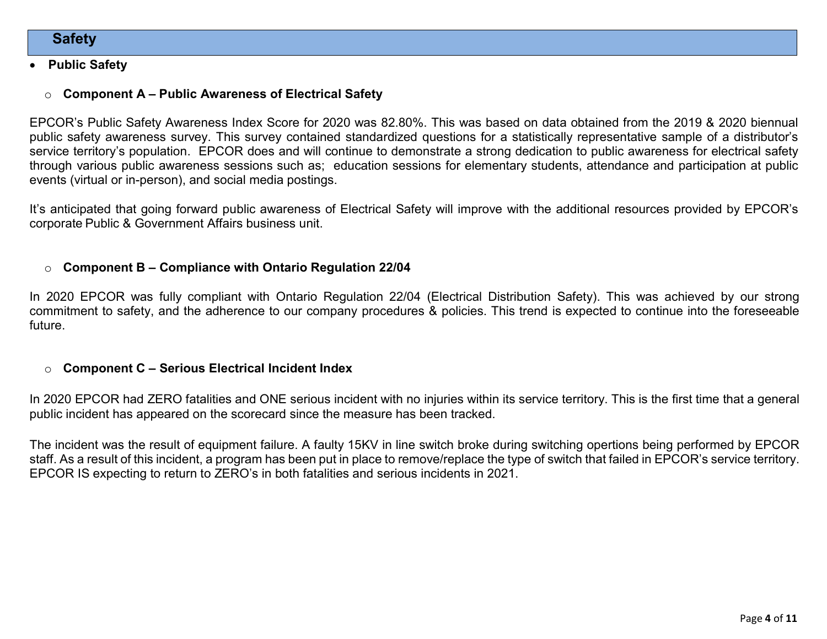## **Safety**

#### Public Safety

## $\circ$  Component A – Public Awareness of Electrical Safety

EPCOR's Public Safety Awareness Index Score for 2020 was 82.80%. This was based on data obtained from the 2019 & 2020 biennual public safety awareness survey. This survey contained standardized questions for a statistically representative sample of a distributor's service territory's population. EPCOR does and will continue to demonstrate a strong dedication to public awareness for electrical safety through various public awareness sessions such as; education sessions for elementary students, attendance and participation at public events (virtual or in-person), and social media postings.

It's anticipated that going forward public awareness of Electrical Safety will improve with the additional resources provided by EPCOR's corporate Public & Government Affairs business unit.

### $\circ$  Component B – Compliance with Ontario Regulation 22/04

In 2020 EPCOR was fully compliant with Ontario Regulation 22/04 (Electrical Distribution Safety). This was achieved by our strong commitment to safety, and the adherence to our company procedures & policies. This trend is expected to continue into the foreseeable future.

### $\circ$  Component C – Serious Electrical Incident Index

In 2020 EPCOR had ZERO fatalities and ONE serious incident with no injuries within its service territory. This is the first time that a general public incident has appeared on the scorecard since the measure has been tracked.

The incident was the result of equipment failure. A faulty 15KV in line switch broke during switching opertions being performed by EPCOR staff. As a result of this incident, a program has been put in place to remove/replace the type of switch that failed in EPCOR's service territory. EPCOR IS expecting to return to ZERO's in both fatalities and serious incidents in 2021.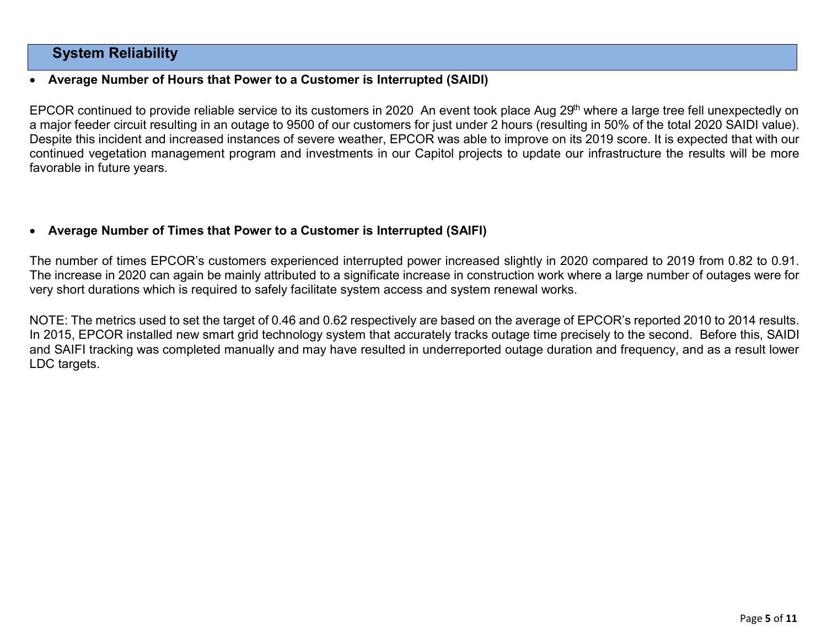## System Reliability

### Average Number of Hours that Power to a Customer is Interrupted (SAIDI)

EPCOR continued to provide reliable service to its customers in 2020 An event took place Aug 29<sup>th</sup> where a large tree fell unexpectedly on a major feeder circuit resulting in an outage to 9500 of our customers for just under 2 hours (resulting in 50% of the total 2020 SAIDI value). Despite this incident and increased instances of severe weather, EPCOR was able to improve on its 2019 score. It is expected that with our continued vegetation management program and investments in our Capitol projects to update our infrastructure the results will be more favorable in future years.

## Average Number of Times that Power to a Customer is Interrupted (SAIFI)

The number of times EPCOR's customers experienced interrupted power increased slightly in 2020 compared to 2019 from 0.82 to 0.91. The increase in 2020 can again be mainly attributed to a significate increase in construction work where a large number of outages were for very short durations which is required to safely facilitate system access and system renewal works.

NOTE: The metrics used to set the target of 0.46 and 0.62 respectively are based on the average of EPCOR's reported 2010 to 2014 results. In 2015, EPCOR installed new smart grid technology system that accurately tracks outage time precisely to the second. Before this, SAIDI and SAIFI tracking was completed manually and may have resulted in underreported outage duration and frequency, and as a result lower LDC targets.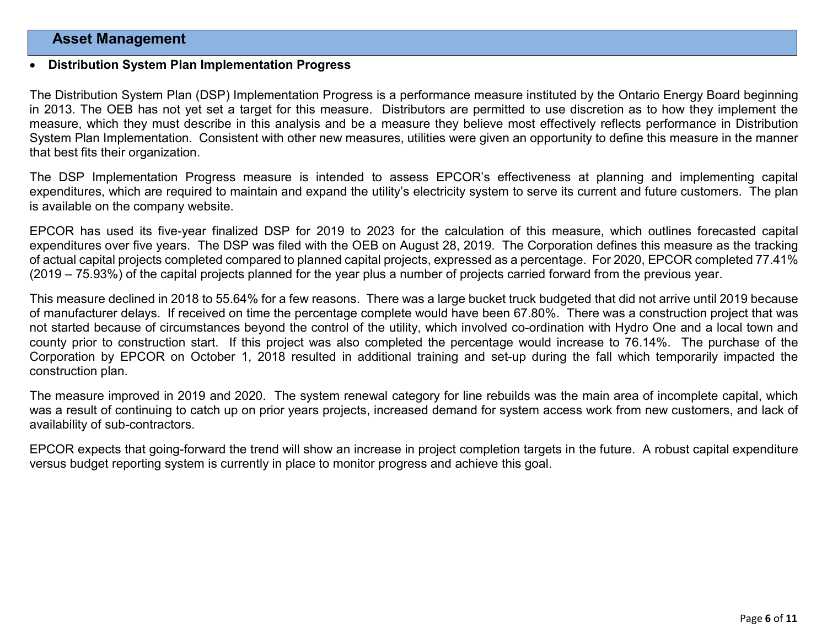## Asset Management

#### Distribution System Plan Implementation Progress

The Distribution System Plan (DSP) Implementation Progress is a performance measure instituted by the Ontario Energy Board beginning in 2013. The OEB has not yet set a target for this measure. Distributors are permitted to use discretion as to how they implement the measure, which they must describe in this analysis and be a measure they believe most effectively reflects performance in Distribution System Plan Implementation. Consistent with other new measures, utilities were given an opportunity to define this measure in the manner that best fits their organization.

The DSP Implementation Progress measure is intended to assess EPCOR's effectiveness at planning and implementing capital expenditures, which are required to maintain and expand the utility's electricity system to serve its current and future customers. The plan is available on the company website.

EPCOR has used its five-year finalized DSP for 2019 to 2023 for the calculation of this measure, which outlines forecasted capital expenditures over five years. The DSP was filed with the OEB on August 28, 2019. The Corporation defines this measure as the tracking of actual capital projects completed compared to planned capital projects, expressed as a percentage. For 2020, EPCOR completed 77.41% (2019 – 75.93%) of the capital projects planned for the year plus a number of projects carried forward from the previous year.

This measure declined in 2018 to 55.64% for a few reasons. There was a large bucket truck budgeted that did not arrive until 2019 because of manufacturer delays. If received on time the percentage complete would have been 67.80%. There was a construction project that was not started because of circumstances beyond the control of the utility, which involved co-ordination with Hydro One and a local town and county prior to construction start. If this project was also completed the percentage would increase to 76.14%. The purchase of the Corporation by EPCOR on October 1, 2018 resulted in additional training and set-up during the fall which temporarily impacted the construction plan.

The measure improved in 2019 and 2020. The system renewal category for line rebuilds was the main area of incomplete capital, which was a result of continuing to catch up on prior years projects, increased demand for system access work from new customers, and lack of availability of sub-contractors.

EPCOR expects that going-forward the trend will show an increase in project completion targets in the future. A robust capital expenditure versus budget reporting system is currently in place to monitor progress and achieve this goal.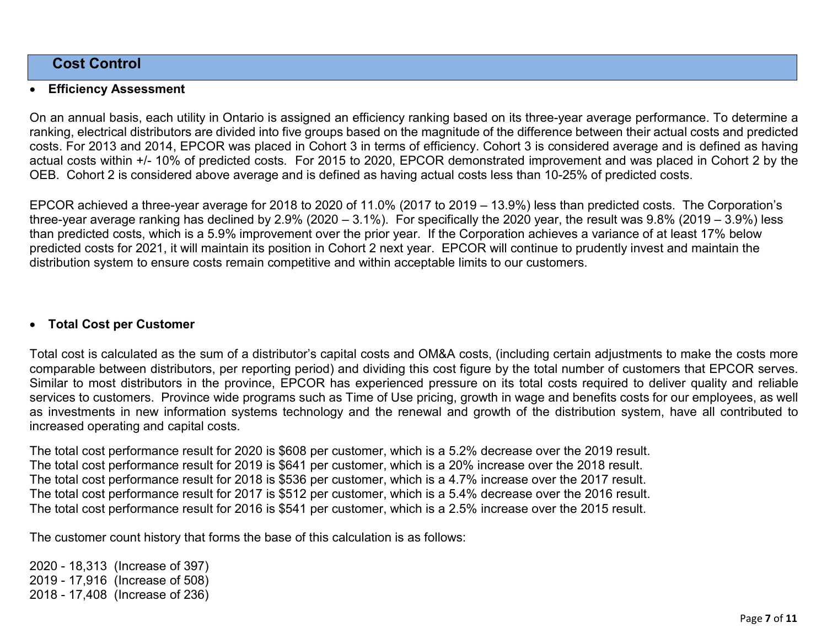## Cost Control

#### Efficiency Assessment

On an annual basis, each utility in Ontario is assigned an efficiency ranking based on its three-year average performance. To determine a ranking, electrical distributors are divided into five groups based on the magnitude of the difference between their actual costs and predicted costs. For 2013 and 2014, EPCOR was placed in Cohort 3 in terms of efficiency. Cohort 3 is considered average and is defined as having actual costs within +/- 10% of predicted costs. For 2015 to 2020, EPCOR demonstrated improvement and was placed in Cohort 2 by the OEB. Cohort 2 is considered above average and is defined as having actual costs less than 10-25% of predicted costs.

EPCOR achieved a three-year average for 2018 to 2020 of 11.0% (2017 to 2019 – 13.9%) less than predicted costs. The Corporation's three-year average ranking has declined by 2.9% (2020 – 3.1%). For specifically the 2020 year, the result was 9.8% (2019 – 3.9%) less than predicted costs, which is a 5.9% improvement over the prior year. If the Corporation achieves a variance of at least 17% below predicted costs for 2021, it will maintain its position in Cohort 2 next year. EPCOR will continue to prudently invest and maintain the distribution system to ensure costs remain competitive and within acceptable limits to our customers.

### Total Cost per Customer

Total cost is calculated as the sum of a distributor's capital costs and OM&A costs, (including certain adjustments to make the costs more comparable between distributors, per reporting period) and dividing this cost figure by the total number of customers that EPCOR serves. Similar to most distributors in the province, EPCOR has experienced pressure on its total costs required to deliver quality and reliable services to customers. Province wide programs such as Time of Use pricing, growth in wage and benefits costs for our employees, as well as investments in new information systems technology and the renewal and growth of the distribution system, have all contributed to increased operating and capital costs.

The total cost performance result for 2020 is \$608 per customer, which is a 5.2% decrease over the 2019 result. The total cost performance result for 2019 is \$641 per customer, which is a 20% increase over the 2018 result. The total cost performance result for 2018 is \$536 per customer, which is a 4.7% increase over the 2017 result. The total cost performance result for 2017 is \$512 per customer, which is a 5.4% decrease over the 2016 result. The total cost performance result for 2016 is \$541 per customer, which is a 2.5% increase over the 2015 result.

The customer count history that forms the base of this calculation is as follows:

2020 - 18,313 (Increase of 397) 2019 - 17,916 (Increase of 508) 2018 - 17,408 (Increase of 236)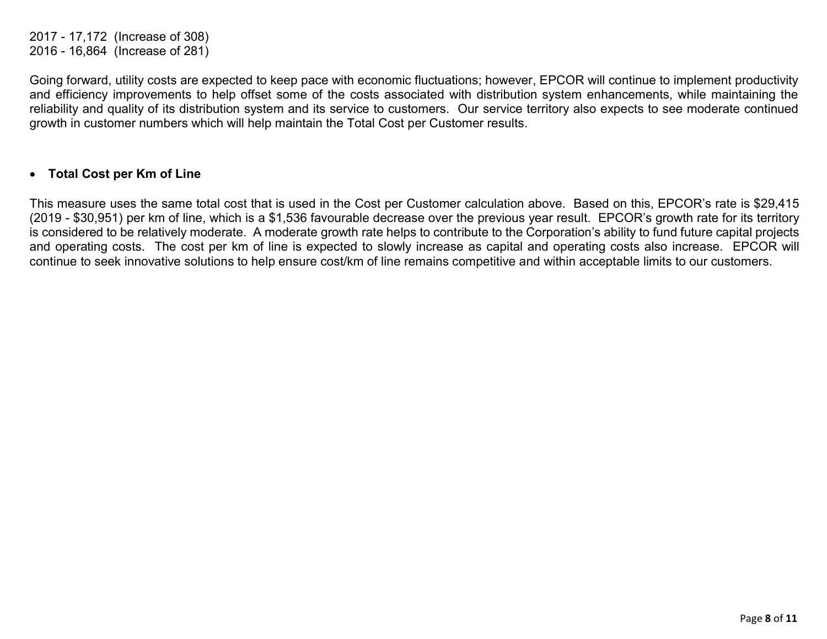2017 - 17,172 (Increase of 308) 2016 - 16,864 (Increase of 281)

Going forward, utility costs are expected to keep pace with economic fluctuations; however, EPCOR will continue to implement productivity and efficiency improvements to help offset some of the costs associated with distribution system enhancements, while maintaining the reliability and quality of its distribution system and its service to customers. Our service territory also expects to see moderate continued growth in customer numbers which will help maintain the Total Cost per Customer results.

#### Total Cost per Km of Line

This measure uses the same total cost that is used in the Cost per Customer calculation above. Based on this, EPCOR's rate is \$29,415 (2019 - \$30,951) per km of line, which is a \$1,536 favourable decrease over the previous year result. EPCOR's growth rate for its territory is considered to be relatively moderate. A moderate growth rate helps to contribute to the Corporation's ability to fund future capital projects and operating costs. The cost per km of line is expected to slowly increase as capital and operating costs also increase. EPCOR will continue to seek innovative solutions to help ensure cost/km of line remains competitive and within acceptable limits to our customers.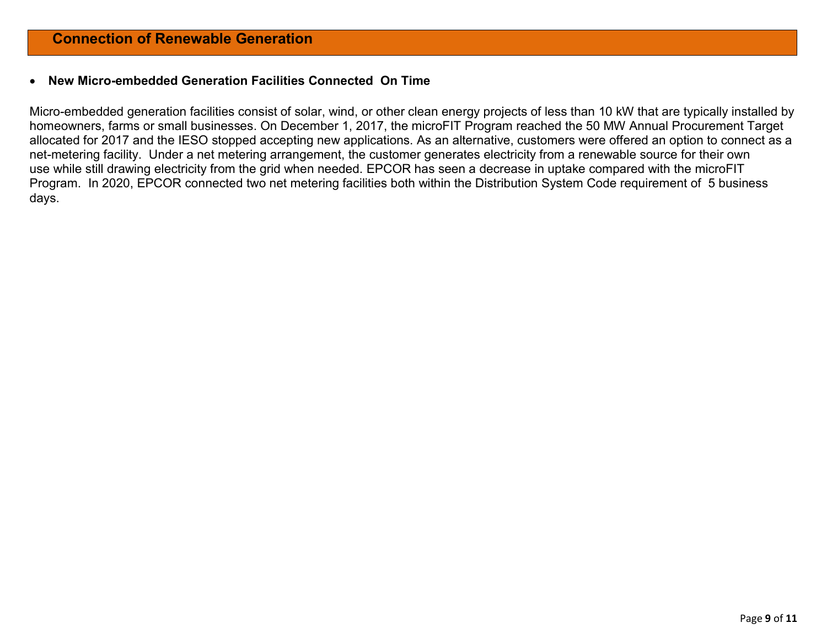#### New Micro-embedded Generation Facilities Connected On Time

Micro-embedded generation facilities consist of solar, wind, or other clean energy projects of less than 10 kW that are typically installed by homeowners, farms or small businesses. On December 1, 2017, the microFIT Program reached the 50 MW Annual Procurement Target allocated for 2017 and the IESO stopped accepting new applications. As an alternative, customers were offered an option to connect as a net-metering facility. Under a net metering arrangement, the customer generates electricity from a renewable source for their own use while still drawing electricity from the grid when needed. EPCOR has seen a decrease in uptake compared with the microFIT Program. In 2020, EPCOR connected two net metering facilities both within the Distribution System Code requirement of 5 business days.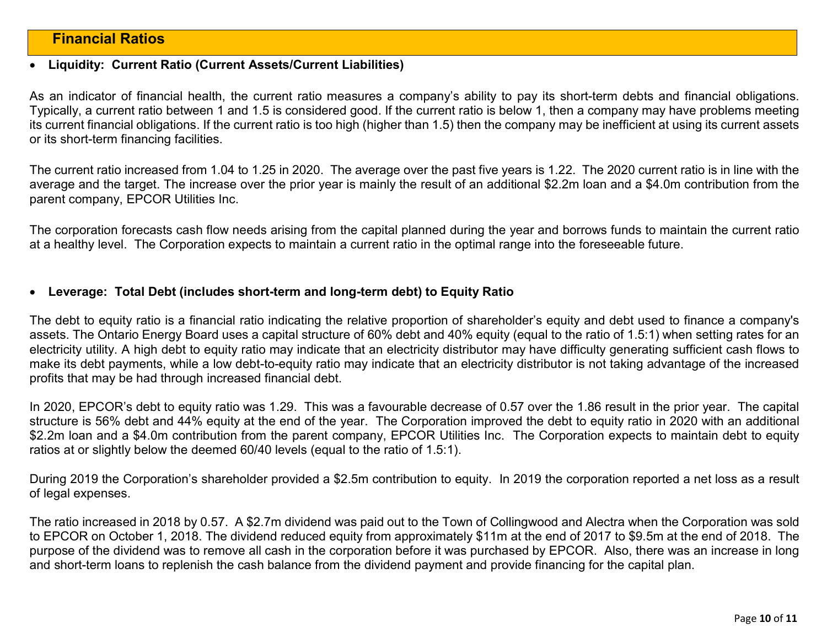## Financial Ratios

#### Liquidity: Current Ratio (Current Assets/Current Liabilities)

As an indicator of financial health, the current ratio measures a company's ability to pay its short-term debts and financial obligations. Typically, a current ratio between 1 and 1.5 is considered good. If the current ratio is below 1, then a company may have problems meeting its current financial obligations. If the current ratio is too high (higher than 1.5) then the company may be inefficient at using its current assets or its short-term financing facilities.

The current ratio increased from 1.04 to 1.25 in 2020. The average over the past five years is 1.22. The 2020 current ratio is in line with the average and the target. The increase over the prior year is mainly the result of an additional \$2.2m loan and a \$4.0m contribution from the parent company, EPCOR Utilities Inc.

The corporation forecasts cash flow needs arising from the capital planned during the year and borrows funds to maintain the current ratio at a healthy level. The Corporation expects to maintain a current ratio in the optimal range into the foreseeable future.

#### Leverage: Total Debt (includes short-term and long-term debt) to Equity Ratio

The debt to equity ratio is a financial ratio indicating the relative proportion of shareholder's equity and debt used to finance a company's assets. The Ontario Energy Board uses a capital structure of 60% debt and 40% equity (equal to the ratio of 1.5:1) when setting rates for an electricity utility. A high debt to equity ratio may indicate that an electricity distributor may have difficulty generating sufficient cash flows to make its debt payments, while a low debt-to-equity ratio may indicate that an electricity distributor is not taking advantage of the increased profits that may be had through increased financial debt.

In 2020, EPCOR's debt to equity ratio was 1.29. This was a favourable decrease of 0.57 over the 1.86 result in the prior year. The capital structure is 56% debt and 44% equity at the end of the year. The Corporation improved the debt to equity ratio in 2020 with an additional \$2.2m loan and a \$4.0m contribution from the parent company, EPCOR Utilities Inc. The Corporation expects to maintain debt to equity ratios at or slightly below the deemed 60/40 levels (equal to the ratio of 1.5:1).

During 2019 the Corporation's shareholder provided a \$2.5m contribution to equity. In 2019 the corporation reported a net loss as a result of legal expenses.

The ratio increased in 2018 by 0.57. A \$2.7m dividend was paid out to the Town of Collingwood and Alectra when the Corporation was sold to EPCOR on October 1, 2018. The dividend reduced equity from approximately \$11m at the end of 2017 to \$9.5m at the end of 2018. The purpose of the dividend was to remove all cash in the corporation before it was purchased by EPCOR. Also, there was an increase in long and short-term loans to replenish the cash balance from the dividend payment and provide financing for the capital plan.